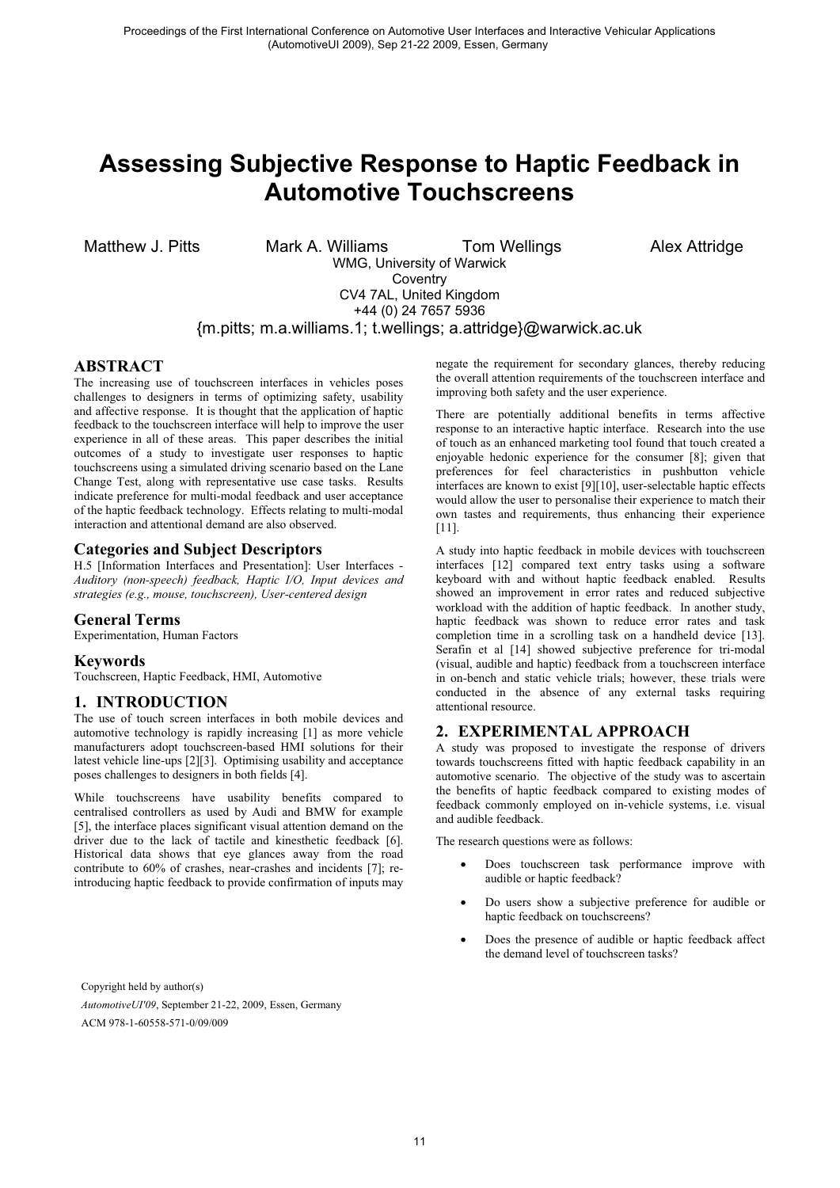# **Assessing Subjective Response to Haptic Feedback in Automotive Touchscreens**

Matthew J. Pitts Mark A. Williams Tom Wellings Alex Attridge WMG, University of Warwick **Coventry** CV4 7AL, United Kingdom +44 (0) 24 7657 5936

{m.pitts; m.a.williams.1; t.wellings; a.attridge}@warwick.ac.uk

# **ABSTRACT**

The increasing use of touchscreen interfaces in vehicles poses challenges to designers in terms of optimizing safety, usability and affective response. It is thought that the application of haptic feedback to the touchscreen interface will help to improve the user experience in all of these areas. This paper describes the initial outcomes of a study to investigate user responses to haptic touchscreens using a simulated driving scenario based on the Lane Change Test, along with representative use case tasks. Results indicate preference for multi-modal feedback and user acceptance of the haptic feedback technology. Effects relating to multi-modal interaction and attentional demand are also observed.

# **Categories and Subject Descriptors**

H.5 [Information Interfaces and Presentation]: User Interfaces - *Auditory (non-speech) feedback, Haptic I/O, Input devices and strategies (e.g., mouse, touchscreen), User-centered design*

# **General Terms**

Experimentation, Human Factors

### **Keywords**

Touchscreen, Haptic Feedback, HMI, Automotive

# **1. INTRODUCTION**

The use of touch screen interfaces in both mobile devices and automotive technology is rapidly increasing [1] as more vehicle manufacturers adopt touchscreen-based HMI solutions for their latest vehicle line-ups [2][3]. Optimising usability and acceptance poses challenges to designers in both fields [4].

While touchscreens have usability benefits compared to centralised controllers as used by Audi and BMW for example [5], the interface places significant visual attention demand on the driver due to the lack of tactile and kinesthetic feedback [6]. Historical data shows that eye glances away from the road contribute to 60% of crashes, near-crashes and incidents [7]; reintroducing haptic feedback to provide confirmation of inputs may

Copyright held by author(s) *AutomotiveUI'09*, September 21-22, 2009, Essen, Germany ACM 978-1-60558-571-0/09/009

negate the requirement for secondary glances, thereby reducing the overall attention requirements of the touchscreen interface and improving both safety and the user experience.

There are potentially additional benefits in terms affective response to an interactive haptic interface. Research into the use of touch as an enhanced marketing tool found that touch created a enjoyable hedonic experience for the consumer [8]; given that preferences for feel characteristics in pushbutton vehicle interfaces are known to exist [9][10], user-selectable haptic effects would allow the user to personalise their experience to match their own tastes and requirements, thus enhancing their experience [11].

A study into haptic feedback in mobile devices with touchscreen interfaces [12] compared text entry tasks using a software keyboard with and without haptic feedback enabled. Results showed an improvement in error rates and reduced subjective workload with the addition of haptic feedback. In another study, haptic feedback was shown to reduce error rates and task completion time in a scrolling task on a handheld device [13]. Serafin et al [14] showed subjective preference for tri-modal (visual, audible and haptic) feedback from a touchscreen interface in on-bench and static vehicle trials; however, these trials were conducted in the absence of any external tasks requiring attentional resource.

# **2. EXPERIMENTAL APPROACH**

A study was proposed to investigate the response of drivers towards touchscreens fitted with haptic feedback capability in an automotive scenario. The objective of the study was to ascertain the benefits of haptic feedback compared to existing modes of feedback commonly employed on in-vehicle systems, i.e. visual and audible feedback.

The research questions were as follows:

- - Does touchscreen task performance improve with audible or haptic feedback?
- - Do users show a subjective preference for audible or haptic feedback on touchscreens?
- - Does the presence of audible or haptic feedback affect the demand level of touchscreen tasks?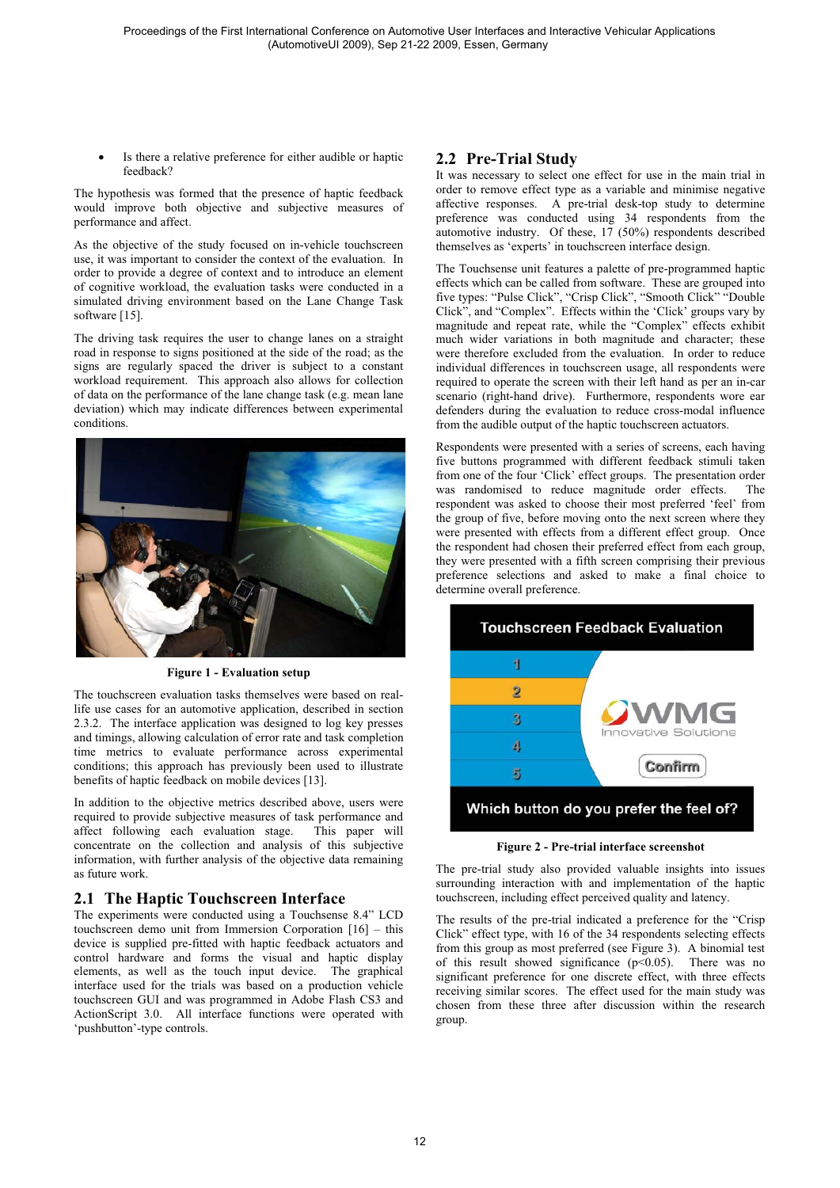- Is there a relative preference for either audible or haptic feedback?

The hypothesis was formed that the presence of haptic feedback would improve both objective and subjective measures of performance and affect.

As the objective of the study focused on in-vehicle touchscreen use, it was important to consider the context of the evaluation. In order to provide a degree of context and to introduce an element of cognitive workload, the evaluation tasks were conducted in a simulated driving environment based on the Lane Change Task software [15].

The driving task requires the user to change lanes on a straight road in response to signs positioned at the side of the road; as the signs are regularly spaced the driver is subject to a constant workload requirement. This approach also allows for collection of data on the performance of the lane change task (e.g. mean lane deviation) which may indicate differences between experimental conditions.



**Figure 1 - Evaluation setup** 

The touchscreen evaluation tasks themselves were based on reallife use cases for an automotive application, described in section 2.3.2. The interface application was designed to log key presses and timings, allowing calculation of error rate and task completion time metrics to evaluate performance across experimental conditions; this approach has previously been used to illustrate benefits of haptic feedback on mobile devices [13].

In addition to the objective metrics described above, users were required to provide subjective measures of task performance and affect following each evaluation stage. This paper will concentrate on the collection and analysis of this subjective information, with further analysis of the objective data remaining as future work.

# **2.1 The Haptic Touchscreen Interface**

The experiments were conducted using a Touchsense 8.4" LCD touchscreen demo unit from Immersion Corporation [16] – this device is supplied pre-fitted with haptic feedback actuators and control hardware and forms the visual and haptic display elements, as well as the touch input device. The graphical interface used for the trials was based on a production vehicle touchscreen GUI and was programmed in Adobe Flash CS3 and ActionScript 3.0. All interface functions were operated with 'pushbutton'-type controls.

# **2.2 Pre-Trial Study**

It was necessary to select one effect for use in the main trial in order to remove effect type as a variable and minimise negative affective responses. A pre-trial desk-top study to determine preference was conducted using 34 respondents from the automotive industry. Of these, 17 (50%) respondents described themselves as 'experts' in touchscreen interface design.

The Touchsense unit features a palette of pre-programmed haptic effects which can be called from software. These are grouped into five types: "Pulse Click", "Crisp Click", "Smooth Click" "Double Click", and "Complex". Effects within the 'Click' groups vary by magnitude and repeat rate, while the "Complex" effects exhibit much wider variations in both magnitude and character; these were therefore excluded from the evaluation. In order to reduce individual differences in touchscreen usage, all respondents were required to operate the screen with their left hand as per an in-car scenario (right-hand drive). Furthermore, respondents wore ear defenders during the evaluation to reduce cross-modal influence from the audible output of the haptic touchscreen actuators.

Respondents were presented with a series of screens, each having five buttons programmed with different feedback stimuli taken from one of the four 'Click' effect groups. The presentation order was randomised to reduce magnitude order effects. The respondent was asked to choose their most preferred 'feel' from the group of five, before moving onto the next screen where they were presented with effects from a different effect group. Once the respondent had chosen their preferred effect from each group, they were presented with a fifth screen comprising their previous preference selections and asked to make a final choice to determine overall preference.



**Figure 2 - Pre-trial interface screenshot** 

The pre-trial study also provided valuable insights into issues surrounding interaction with and implementation of the haptic touchscreen, including effect perceived quality and latency.

The results of the pre-trial indicated a preference for the "Crisp Click" effect type, with 16 of the 34 respondents selecting effects from this group as most preferred (see Figure 3). A binomial test of this result showed significance  $(p<0.05)$ . There was no significant preference for one discrete effect, with three effects receiving similar scores. The effect used for the main study was chosen from these three after discussion within the research group.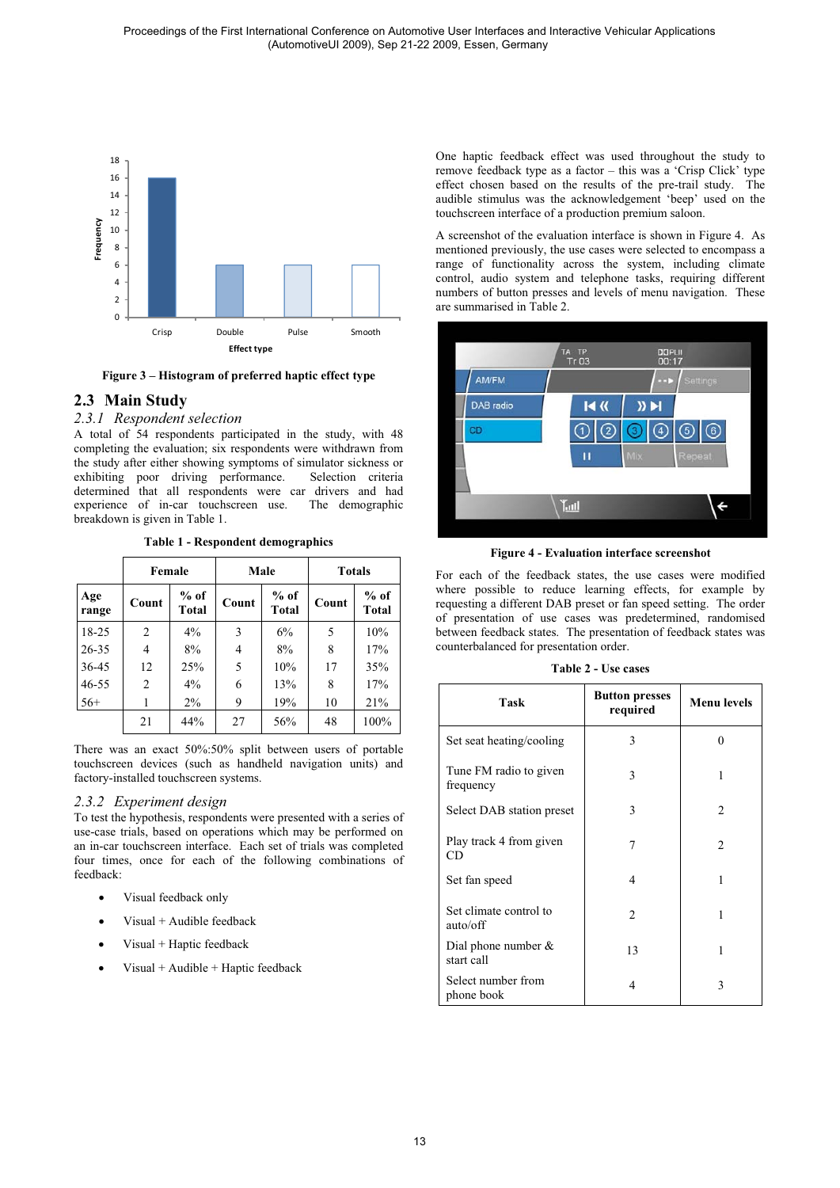

**Figure 3 – Histogram of preferred haptic effect type** 

# **2.3 Main Study**

*2.3.1 Respondent selection* 

A total of 54 respondents participated in the study, with 48 completing the evaluation; six respondents were withdrawn from the study after either showing symptoms of simulator sickness or exhibiting poor driving performance. Selection criteria determined that all respondents were car drivers and had experience of in-car touchscreen use. The demographic breakdown is given in Table 1.

|              |       | Female          | Male  |                        | <b>Totals</b> |                 |
|--------------|-------|-----------------|-------|------------------------|---------------|-----------------|
| Age<br>range | Count | $%$ of<br>Total | Count | $%$ of<br><b>Total</b> | Count         | $%$ of<br>Total |
| $18-25$      | 2     | 4%              | 3     | 6%                     | 5             | 10%             |
| $26 - 35$    | 4     | 8%              | 4     | 8%                     | 8             | 17%             |
| 36-45        | 12    | 25%             | 5     | 10%                    | 17            | 35%             |
| $46 - 55$    | 2     | 4%              | 6     | 13%                    | 8             | 17%             |
| $56+$        | 1     | $2\%$           | 9     | 19%                    | 10            | 21%             |
|              | 21    | 44%             | 27    | 56%                    | 48            | 100%            |

**Table 1 - Respondent demographics** 

There was an exact 50%:50% split between users of portable touchscreen devices (such as handheld navigation units) and factory-installed touchscreen systems.

### *2.3.2 Experiment design*

To test the hypothesis, respondents were presented with a series of use-case trials, based on operations which may be performed on an in-car touchscreen interface. Each set of trials was completed four times, once for each of the following combinations of feedback:

- -Visual feedback only
- -Visual + Audible feedback
- -Visual + Haptic feedback
- -Visual + Audible + Haptic feedback

One haptic feedback effect was used throughout the study to remove feedback type as a factor – this was a 'Crisp Click' type effect chosen based on the results of the pre-trail study. The audible stimulus was the acknowledgement 'beep' used on the touchscreen interface of a production premium saloon.

A screenshot of the evaluation interface is shown in Figure 4. As mentioned previously, the use cases were selected to encompass a range of functionality across the system, including climate control, audio system and telephone tasks, requiring different numbers of button presses and levels of menu navigation. These are summarised in Table 2.



**Figure 4 - Evaluation interface screenshot** 

For each of the feedback states, the use cases were modified where possible to reduce learning effects, for example by requesting a different DAB preset or fan speed setting. The order of presentation of use cases was predetermined, randomised between feedback states. The presentation of feedback states was counterbalanced for presentation order.

#### **Table 2 - Use cases**

| <b>Task</b>                          | <b>Button presses</b><br>required | <b>Menu</b> levels |
|--------------------------------------|-----------------------------------|--------------------|
| Set seat heating/cooling             | 3                                 | $\Omega$           |
| Tune FM radio to given<br>frequency  | 3                                 |                    |
| Select DAB station preset            | 3                                 | 2                  |
| Play track 4 from given<br>CD.       | 7                                 | $\overline{c}$     |
| Set fan speed                        | 4                                 |                    |
| Set climate control to<br>auto/off   | $\overline{2}$                    |                    |
| Dial phone number $\&$<br>start call | 13                                | 1                  |
| Select number from<br>phone book     | 4                                 | 3                  |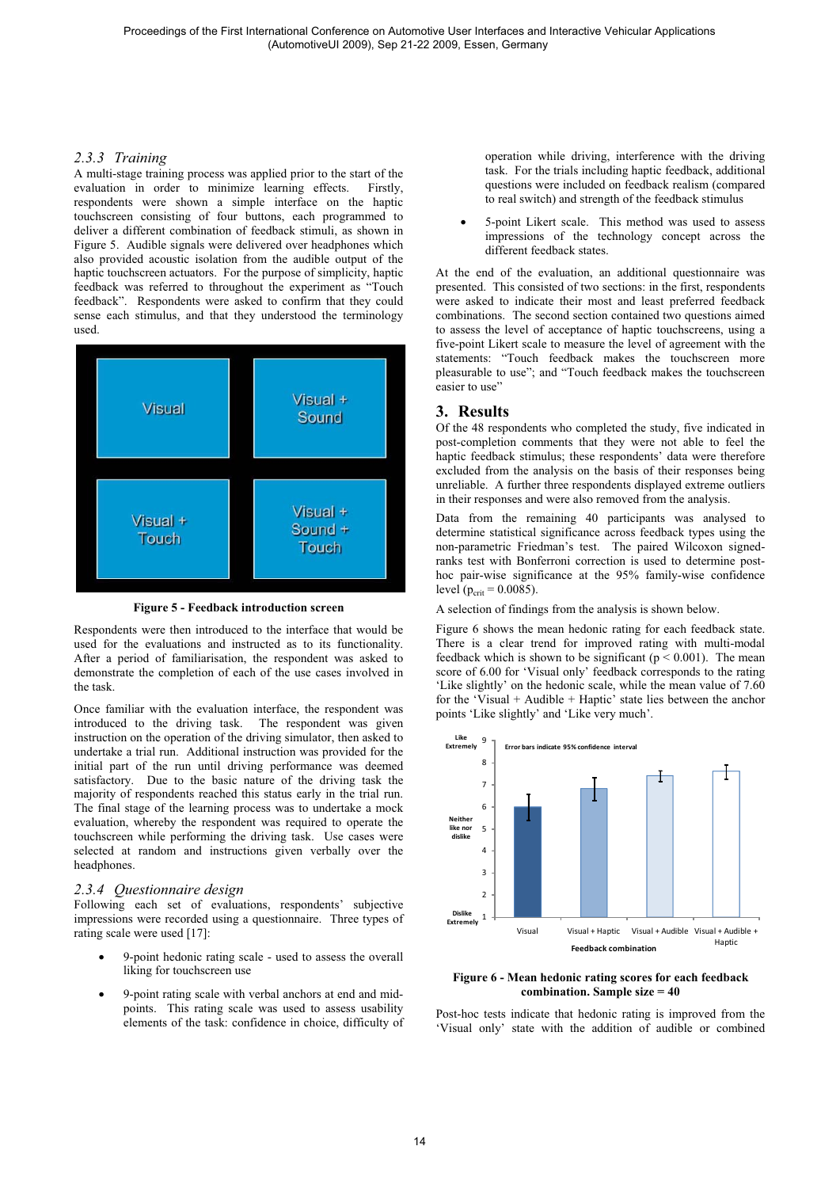#### *2.3.3 Training*

A multi-stage training process was applied prior to the start of the evaluation in order to minimize learning effects. Firstly, respondents were shown a simple interface on the haptic touchscreen consisting of four buttons, each programmed to deliver a different combination of feedback stimuli, as shown in Figure 5. Audible signals were delivered over headphones which also provided acoustic isolation from the audible output of the haptic touchscreen actuators. For the purpose of simplicity, haptic feedback was referred to throughout the experiment as "Touch feedback". Respondents were asked to confirm that they could sense each stimulus, and that they understood the terminology used.



**Figure 5 - Feedback introduction screen** 

Respondents were then introduced to the interface that would be used for the evaluations and instructed as to its functionality. After a period of familiarisation, the respondent was asked to demonstrate the completion of each of the use cases involved in the task.

Once familiar with the evaluation interface, the respondent was introduced to the driving task. The respondent was given instruction on the operation of the driving simulator, then asked to undertake a trial run. Additional instruction was provided for the initial part of the run until driving performance was deemed satisfactory. Due to the basic nature of the driving task the majority of respondents reached this status early in the trial run. The final stage of the learning process was to undertake a mock evaluation, whereby the respondent was required to operate the touchscreen while performing the driving task. Use cases were selected at random and instructions given verbally over the headphones.

## *2.3.4 Questionnaire design*

Following each set of evaluations, respondents' subjective impressions were recorded using a questionnaire. Three types of rating scale were used [17]:

- - 9-point hedonic rating scale - used to assess the overall liking for touchscreen use
- - 9-point rating scale with verbal anchors at end and midpoints. This rating scale was used to assess usability elements of the task: confidence in choice, difficulty of

operation while driving, interference with the driving task. For the trials including haptic feedback, additional questions were included on feedback realism (compared to real switch) and strength of the feedback stimulus

- 5-point Likert scale. This method was used to assess impressions of the technology concept across the different feedback states.

At the end of the evaluation, an additional questionnaire was presented. This consisted of two sections: in the first, respondents were asked to indicate their most and least preferred feedback combinations. The second section contained two questions aimed to assess the level of acceptance of haptic touchscreens, using a five-point Likert scale to measure the level of agreement with the statements: "Touch feedback makes the touchscreen more pleasurable to use"; and "Touch feedback makes the touchscreen easier to use"

## **3. Results**

Of the 48 respondents who completed the study, five indicated in post-completion comments that they were not able to feel the haptic feedback stimulus; these respondents' data were therefore excluded from the analysis on the basis of their responses being unreliable. A further three respondents displayed extreme outliers in their responses and were also removed from the analysis.

Data from the remaining 40 participants was analysed to determine statistical significance across feedback types using the non-parametric Friedman's test. The paired Wilcoxon signedranks test with Bonferroni correction is used to determine posthoc pair-wise significance at the 95% family-wise confidence level ( $p_{\text{crit}} = 0.0085$ ).

A selection of findings from the analysis is shown below.

Figure 6 shows the mean hedonic rating for each feedback state. There is a clear trend for improved rating with multi-modal feedback which is shown to be significant ( $p \le 0.001$ ). The mean score of 6.00 for 'Visual only' feedback corresponds to the rating 'Like slightly' on the hedonic scale, while the mean value of 7.60 for the 'Visual + Audible + Haptic' state lies between the anchor points 'Like slightly' and 'Like very much'.



**Figure 6 - Mean hedonic rating scores for each feedback combination. Sample size = 40** 

Post-hoc tests indicate that hedonic rating is improved from the 'Visual only' state with the addition of audible or combined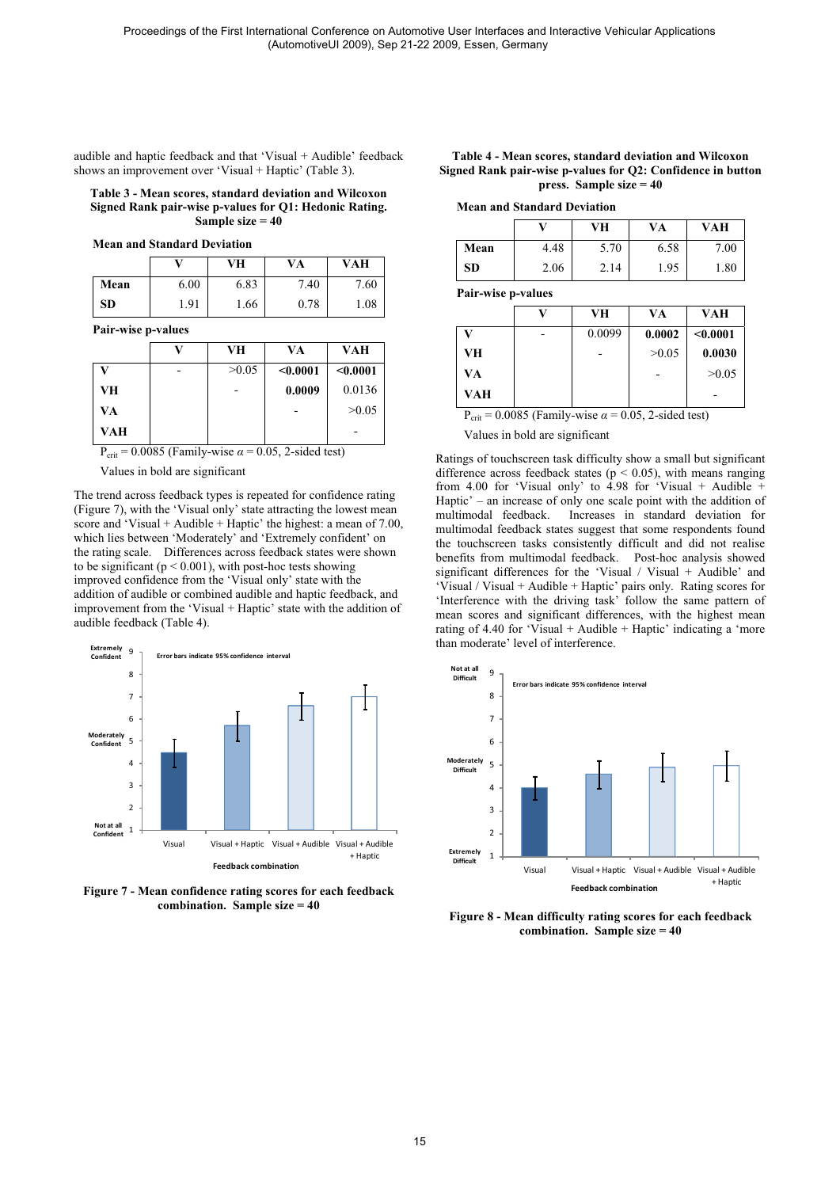audible and haptic feedback and that 'Visual + Audible' feedback shows an improvement over 'Visual + Haptic' (Table 3).

**Table 3 - Mean scores, standard deviation and Wilcoxon Signed Rank pair-wise p-values for Q1: Hedonic Rating. Sample size = 40**

|           |      | VH   | VA   | VAH  |
|-----------|------|------|------|------|
| Mean      | 6.00 | 6.83 | 7.40 | 7.60 |
| <b>SD</b> | 1.91 | 1.66 | 0.78 | 1.08 |

**Pair-wise p-values**

|     | VН    | VA       | VAH      |
|-----|-------|----------|----------|
| ۲Z  | >0.05 | $0.0001$ | < 0.0001 |
| VH  |       | 0.0009   | 0.0136   |
| VA  |       |          | >0.05    |
| VAH |       |          |          |

 $P_{\text{crit}} = 0.0085$  (Family-wise  $\alpha = 0.05$ , 2-sided test)

Values in bold are significant

The trend across feedback types is repeated for confidence rating (Figure 7), with the 'Visual only' state attracting the lowest mean score and 'Visual + Audible + Haptic' the highest: a mean of  $7.00$ , which lies between 'Moderately' and 'Extremely confident' on the rating scale. Differences across feedback states were shown to be significant ( $p < 0.001$ ), with post-hoc tests showing improved confidence from the 'Visual only' state with the addition of audible or combined audible and haptic feedback, and improvement from the 'Visual + Haptic' state with the addition of audible feedback (Table 4).



**Figure 7 - Mean confidence rating scores for each feedback combination. Sample size = 40** 

| Table 4 - Mean scores, standard deviation and Wilcoxon      |
|-------------------------------------------------------------|
| Signed Rank pair-wise p-values for Q2: Confidence in button |
| press. Sample size $= 40$                                   |

|  |  | <b>Mean and Standard Deviation</b> |
|--|--|------------------------------------|
|--|--|------------------------------------|

|           |      | VН   | VA   | VAH  |
|-----------|------|------|------|------|
| Mean      | 4.48 | 5.70 | 6.58 | 7.00 |
| <b>SD</b> | 2.06 | 2.14 | 1.95 | 1.80 |

**Pair-wise p-values**

|     | к, | VH     | VA     | VAH      |
|-----|----|--------|--------|----------|
|     |    | 0.0099 | 0.0002 | < 0.0001 |
| VH  |    |        | >0.05  | 0.0030   |
| VA  |    |        |        | >0.05    |
| VAH |    |        |        |          |

 $P_{\text{crit}} = 0.0085$  (Family-wise  $\alpha = 0.05$ , 2-sided test)

#### Values in bold are significant

Ratings of touchscreen task difficulty show a small but significant difference across feedback states ( $p < 0.05$ ), with means ranging from 4.00 for 'Visual only' to  $4.98$  for 'Visual + Audible + Haptic' – an increase of only one scale point with the addition of multimodal feedback. Increases in standard deviation for Increases in standard deviation for multimodal feedback states suggest that some respondents found the touchscreen tasks consistently difficult and did not realise benefits from multimodal feedback. Post-hoc analysis showed significant differences for the 'Visual / Visual + Audible' and 'Visual / Visual + Audible + Haptic' pairs only. Rating scores for 'Interference with the driving task' follow the same pattern of mean scores and significant differences, with the highest mean rating of 4.40 for 'Visual + Audible + Haptic' indicating a 'more than moderate' level of interference.



**Figure 8 - Mean difficulty rating scores for each feedback combination. Sample size = 40**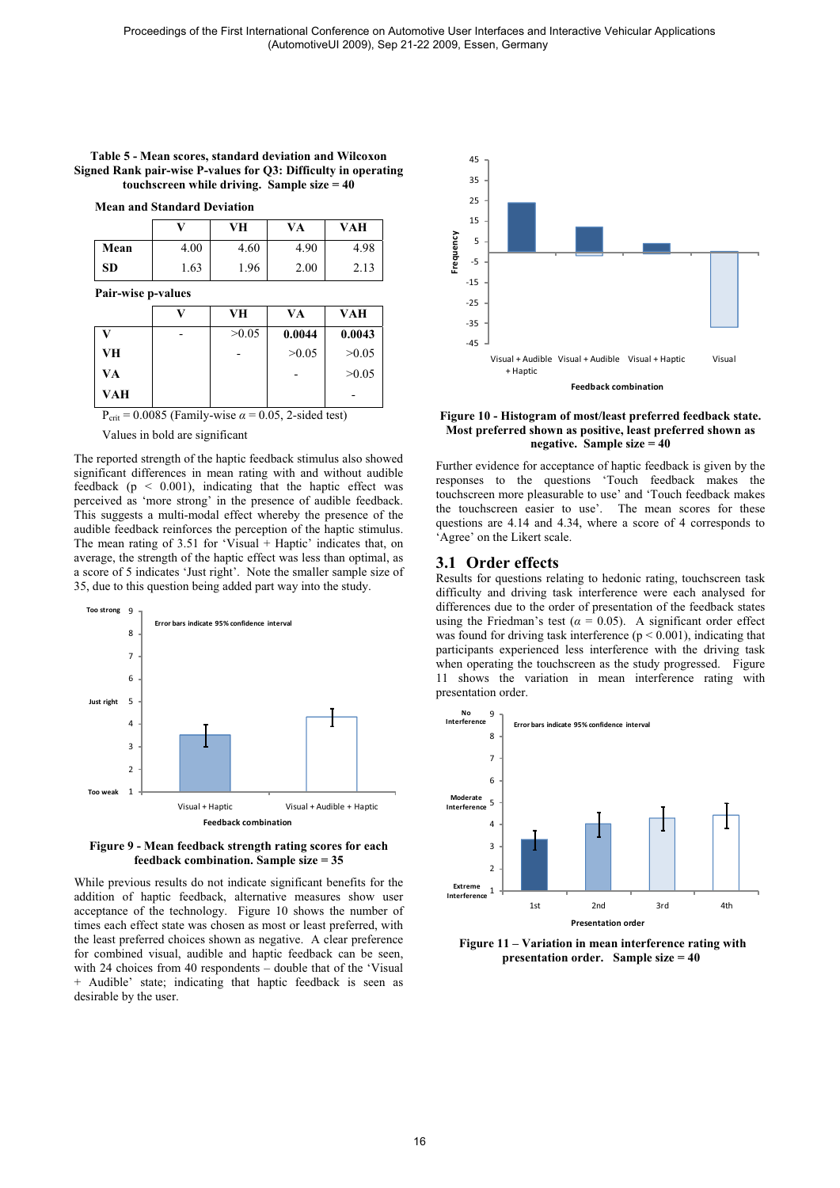#### **Table 5 - Mean scores, standard deviation and Wilcoxon Signed Rank pair-wise P-values for Q3: Difficulty in operating touchscreen while driving. Sample size = 40**

**Mean and Standard Deviation**

|           |      | VH   | VA   | VAH  |
|-----------|------|------|------|------|
| Mean      | 4.00 | 4.60 | 4.90 | 4.98 |
| <b>SD</b> | 1.63 | 1.96 | 2.00 | 2.13 |

**Pair-wise p-values**

|                  |                         | VH    | VA         | <b>VAH</b> |
|------------------|-------------------------|-------|------------|------------|
| v                |                         | >0.05 | 0.0044     | 0.0043     |
| VH               |                         |       | >0.05      | >0.05      |
| VA               |                         |       |            | >0.05      |
| VAH              |                         |       |            |            |
| $-$<br>- - - - - | $\sim$ $\sim$<br>$\sim$ |       | .<br>- - - |            |

 $P_{\text{crit}} = 0.0085$  (Family-wise  $\alpha = 0.05$ , 2-sided test)

Values in bold are significant

The reported strength of the haptic feedback stimulus also showed significant differences in mean rating with and without audible feedback ( $p < 0.001$ ), indicating that the haptic effect was perceived as 'more strong' in the presence of audible feedback. This suggests a multi-modal effect whereby the presence of the audible feedback reinforces the perception of the haptic stimulus. The mean rating of 3.51 for 'Visual + Haptic' indicates that, on average, the strength of the haptic effect was less than optimal, as a score of 5 indicates 'Just right'. Note the smaller sample size of 35, due to this question being added part way into the study.





While previous results do not indicate significant benefits for the addition of haptic feedback, alternative measures show user acceptance of the technology. Figure 10 shows the number of times each effect state was chosen as most or least preferred, with the least preferred choices shown as negative. A clear preference for combined visual, audible and haptic feedback can be seen, with 24 choices from 40 respondents – double that of the 'Visual + Audible' state; indicating that haptic feedback is seen as desirable by the user.



#### **Figure 10 - Histogram of most/least preferred feedback state. Most preferred shown as positive, least preferred shown as negative. Sample size = 40**

Further evidence for acceptance of haptic feedback is given by the responses to the questions 'Touch feedback makes the touchscreen more pleasurable to use' and 'Touch feedback makes the touchscreen easier to use'. The mean scores for these questions are 4.14 and 4.34, where a score of 4 corresponds to 'Agree' on the Likert scale.

#### **3.1 Order effects**

Results for questions relating to hedonic rating, touchscreen task difficulty and driving task interference were each analysed for differences due to the order of presentation of the feedback states using the Friedman's test ( $\alpha = 0.05$ ). A significant order effect was found for driving task interference ( $p < 0.001$ ), indicating that participants experienced less interference with the driving task when operating the touchscreen as the study progressed. Figure 11 shows the variation in mean interference rating with presentation order.



 **Figure 11 – Variation in mean interference rating with presentation order. Sample size = 40**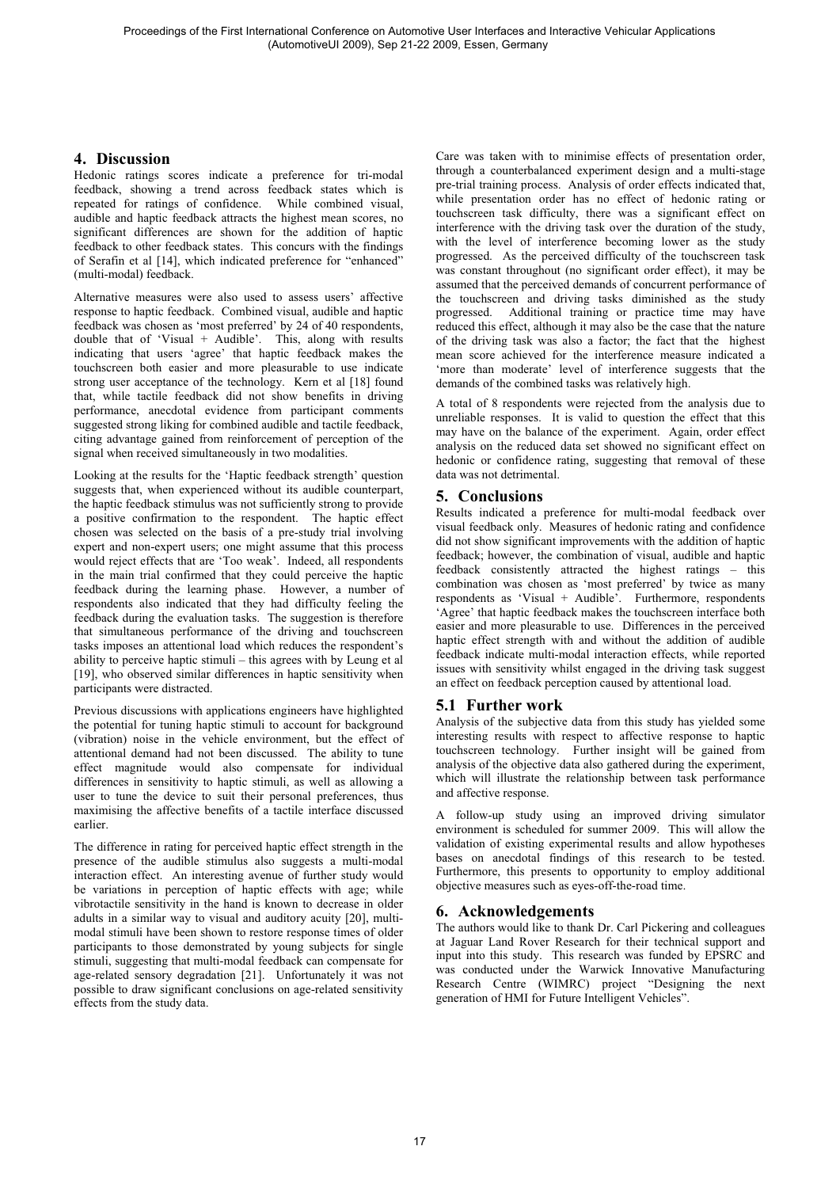## **4. Discussion**

Hedonic ratings scores indicate a preference for tri-modal feedback, showing a trend across feedback states which is repeated for ratings of confidence. While combined visual, audible and haptic feedback attracts the highest mean scores, no significant differences are shown for the addition of haptic feedback to other feedback states. This concurs with the findings of Serafin et al [14], which indicated preference for "enhanced" (multi-modal) feedback.

Alternative measures were also used to assess users' affective response to haptic feedback. Combined visual, audible and haptic feedback was chosen as 'most preferred' by 24 of 40 respondents, double that of 'Visual + Audible'. This, along with results indicating that users 'agree' that haptic feedback makes the touchscreen both easier and more pleasurable to use indicate strong user acceptance of the technology. Kern et al [18] found that, while tactile feedback did not show benefits in driving performance, anecdotal evidence from participant comments suggested strong liking for combined audible and tactile feedback, citing advantage gained from reinforcement of perception of the signal when received simultaneously in two modalities.

Looking at the results for the 'Haptic feedback strength' question suggests that, when experienced without its audible counterpart, the haptic feedback stimulus was not sufficiently strong to provide a positive confirmation to the respondent. The haptic effect chosen was selected on the basis of a pre-study trial involving expert and non-expert users; one might assume that this process would reject effects that are 'Too weak'. Indeed, all respondents in the main trial confirmed that they could perceive the haptic feedback during the learning phase. However, a number of respondents also indicated that they had difficulty feeling the feedback during the evaluation tasks. The suggestion is therefore that simultaneous performance of the driving and touchscreen tasks imposes an attentional load which reduces the respondent's ability to perceive haptic stimuli – this agrees with by Leung et al [19], who observed similar differences in haptic sensitivity when participants were distracted.

Previous discussions with applications engineers have highlighted the potential for tuning haptic stimuli to account for background (vibration) noise in the vehicle environment, but the effect of attentional demand had not been discussed. The ability to tune effect magnitude would also compensate for individual differences in sensitivity to haptic stimuli, as well as allowing a user to tune the device to suit their personal preferences, thus maximising the affective benefits of a tactile interface discussed earlier.

The difference in rating for perceived haptic effect strength in the presence of the audible stimulus also suggests a multi-modal interaction effect. An interesting avenue of further study would be variations in perception of haptic effects with age; while vibrotactile sensitivity in the hand is known to decrease in older adults in a similar way to visual and auditory acuity [20], multimodal stimuli have been shown to restore response times of older participants to those demonstrated by young subjects for single stimuli, suggesting that multi-modal feedback can compensate for age-related sensory degradation [21]. Unfortunately it was not possible to draw significant conclusions on age-related sensitivity effects from the study data.

Care was taken with to minimise effects of presentation order, through a counterbalanced experiment design and a multi-stage pre-trial training process. Analysis of order effects indicated that, while presentation order has no effect of hedonic rating or touchscreen task difficulty, there was a significant effect on interference with the driving task over the duration of the study, with the level of interference becoming lower as the study progressed. As the perceived difficulty of the touchscreen task was constant throughout (no significant order effect), it may be assumed that the perceived demands of concurrent performance of the touchscreen and driving tasks diminished as the study progressed. Additional training or practice time may have reduced this effect, although it may also be the case that the nature of the driving task was also a factor; the fact that the highest mean score achieved for the interference measure indicated a 'more than moderate' level of interference suggests that the demands of the combined tasks was relatively high.

A total of 8 respondents were rejected from the analysis due to unreliable responses. It is valid to question the effect that this may have on the balance of the experiment. Again, order effect analysis on the reduced data set showed no significant effect on hedonic or confidence rating, suggesting that removal of these data was not detrimental.

### **5. Conclusions**

Results indicated a preference for multi-modal feedback over visual feedback only. Measures of hedonic rating and confidence did not show significant improvements with the addition of haptic feedback; however, the combination of visual, audible and haptic feedback consistently attracted the highest ratings – this combination was chosen as 'most preferred' by twice as many respondents as 'Visual + Audible'. Furthermore, respondents 'Agree' that haptic feedback makes the touchscreen interface both easier and more pleasurable to use. Differences in the perceived haptic effect strength with and without the addition of audible feedback indicate multi-modal interaction effects, while reported issues with sensitivity whilst engaged in the driving task suggest an effect on feedback perception caused by attentional load.

### **5.1 Further work**

Analysis of the subjective data from this study has yielded some interesting results with respect to affective response to haptic touchscreen technology. Further insight will be gained from analysis of the objective data also gathered during the experiment, which will illustrate the relationship between task performance and affective response.

A follow-up study using an improved driving simulator environment is scheduled for summer 2009. This will allow the validation of existing experimental results and allow hypotheses bases on anecdotal findings of this research to be tested. Furthermore, this presents to opportunity to employ additional objective measures such as eyes-off-the-road time.

### **6. Acknowledgements**

The authors would like to thank Dr. Carl Pickering and colleagues at Jaguar Land Rover Research for their technical support and input into this study. This research was funded by EPSRC and was conducted under the Warwick Innovative Manufacturing Research Centre (WIMRC) project "Designing the next generation of HMI for Future Intelligent Vehicles".